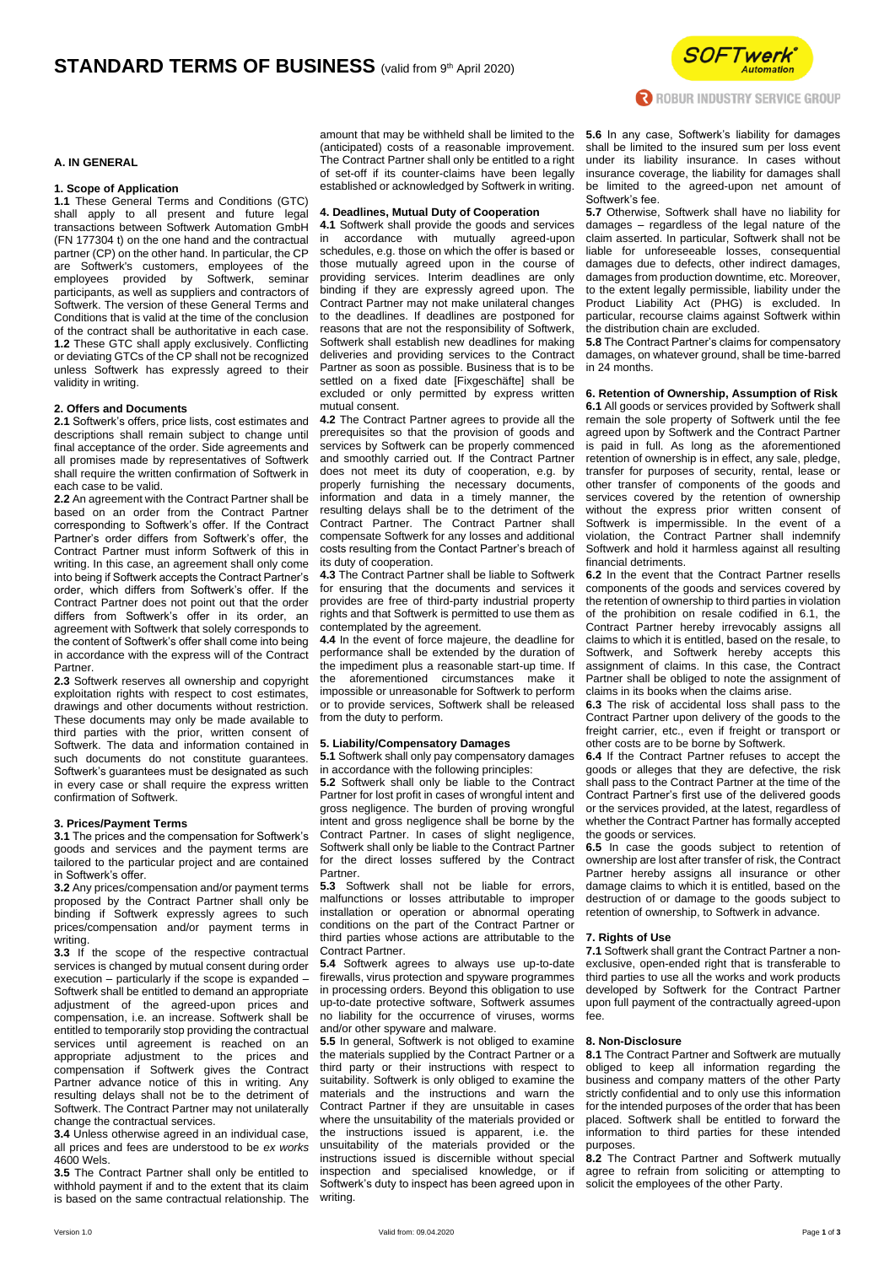

#### **A. IN GENERAL**

## **1. Scope of Application**

**1.1** These General Terms and Conditions (GTC) shall apply to all present and future legal transactions between Softwerk Automation GmbH (FN 177304 t) on the one hand and the contractual partner (CP) on the other hand. In particular, the CP are Softwerk's customers, employees of the  $emploves$  provided by participants, as well as suppliers and contractors of Softwerk. The version of these General Terms and Conditions that is valid at the time of the conclusion of the contract shall be authoritative in each case. **1.2** These GTC shall apply exclusively. Conflicting or deviating GTCs of the CP shall not be recognized unless Softwerk has expressly agreed to their validity in writing.

#### **2. Offers and Documents**

**2.1** Softwerk's offers, price lists, cost estimates and descriptions shall remain subject to change until final acceptance of the order. Side agreements and all promises made by representatives of Softwerk shall require the written confirmation of Softwerk in each case to be valid.

**2.2** An agreement with the Contract Partner shall be based on an order from the Contract Partner corresponding to Softwerk's offer. If the Contract Partner's order differs from Softwerk's offer, the Contract Partner must inform Softwerk of this in writing. In this case, an agreement shall only come into being if Softwerk accepts the Contract Partner's order, which differs from Softwerk's offer. If the Contract Partner does not point out that the order differs from Softwerk's offer in its order, an agreement with Softwerk that solely corresponds to the content of Softwerk's offer shall come into being in accordance with the express will of the Contract Partner.

**2.3** Softwerk reserves all ownership and copyright exploitation rights with respect to cost estimates. drawings and other documents without restriction. These documents may only be made available to third parties with the prior, written consent of Softwerk. The data and information contained in such documents do not constitute guarantees. Softwerk's guarantees must be designated as such in every case or shall require the express written confirmation of Softwerk.

#### **3. Prices/Payment Terms**

**3.1** The prices and the compensation for Softwerk's goods and services and the payment terms are tailored to the particular project and are contained in Softwerk's offer.

**3.2** Any prices/compensation and/or payment terms proposed by the Contract Partner shall only be binding if Softwerk expressly agrees to such prices/compensation and/or payment terms in writing.

**3.3** If the scope of the respective contractual services is changed by mutual consent during order execution – particularly if the scope is expanded – Softwerk shall be entitled to demand an appropriate adjustment of the agreed-upon prices and compensation, i.e. an increase. Softwerk shall be entitled to temporarily stop providing the contractual services until agreement is reached on an appropriate adjustment to the prices and compensation if Softwerk gives the Contract Partner advance notice of this in writing. Any resulting delays shall not be to the detriment of Softwerk. The Contract Partner may not unilaterally change the contractual services.

**3.4** Unless otherwise agreed in an individual case, all prices and fees are understood to be *ex works* 4600 Wels.

**3.5** The Contract Partner shall only be entitled to withhold payment if and to the extent that its claim is based on the same contractual relationship. The

amount that may be withheld shall be limited to the (anticipated) costs of a reasonable improvement. The Contract Partner shall only be entitled to a right of set-off if its counter-claims have been legally established or acknowledged by Softwerk in writing.

#### **4. Deadlines, Mutual Duty of Cooperation**

**4.1** Softwerk shall provide the goods and services in accordance with mutually agreed-upon schedules, e.g. those on which the offer is based or those mutually agreed upon in the course of providing services. Interim deadlines are only binding if they are expressly agreed upon. The Contract Partner may not make unilateral changes to the deadlines. If deadlines are postponed for reasons that are not the responsibility of Softwerk, Softwerk shall establish new deadlines for making deliveries and providing services to the Contract Partner as soon as possible. Business that is to be settled on a fixed date [Fixgeschäfte] shall be excluded or only permitted by express written mutual consent.

**4.2** The Contract Partner agrees to provide all the prerequisites so that the provision of goods and services by Softwerk can be properly commenced and smoothly carried out. If the Contract Partner does not meet its duty of cooperation, e.g. by properly furnishing the necessary documents, information and data in a timely manner, the resulting delays shall be to the detriment of the Contract Partner. The Contract Partner shall compensate Softwerk for any losses and additional costs resulting from the Contact Partner's breach of its duty of cooperation.

**4.3** The Contract Partner shall be liable to Softwerk for ensuring that the documents and services it provides are free of third-party industrial property rights and that Softwerk is permitted to use them as contemplated by the agreement.

**4.4** In the event of force majeure, the deadline for performance shall be extended by the duration of the impediment plus a reasonable start-up time. If the aforementioned circumstances make impossible or unreasonable for Softwerk to perform or to provide services, Softwerk shall be released from the duty to perform.

#### **5. Liability/Compensatory Damages**

**5.1** Softwerk shall only pay compensatory damages in accordance with the following principles:

**5.2** Softwerk shall only be liable to the Contract Partner for lost profit in cases of wrongful intent and gross negligence. The burden of proving wrongful intent and gross negligence shall be borne by the Contract Partner. In cases of slight negligence, Softwerk shall only be liable to the Contract Partner for the direct losses suffered by the Contract Partner.

**5.3** Softwerk shall not be liable for errors, malfunctions or losses attributable to improper installation or operation or abnormal operating conditions on the part of the Contract Partner or third parties whose actions are attributable to the Contract Partner.

**5.4** Softwerk agrees to always use up-to-date firewalls, virus protection and spyware programmes in processing orders. Beyond this obligation to use up-to-date protective software, Softwerk assumes no liability for the occurrence of viruses, worms and/or other spyware and malware.

**5.5** In general, Softwerk is not obliged to examine the materials supplied by the Contract Partner or a third party or their instructions with respect to suitability. Softwerk is only obliged to examine the materials and the instructions and warn the Contract Partner if they are unsuitable in cases where the unsuitability of the materials provided or the instructions issued is apparent, i.e. the unsuitability of the materials provided or the instructions issued is discernible without special inspection and specialised knowledge, or if Softwerk's duty to inspect has been agreed upon in writing.

**5.6** In any case, Softwerk's liability for damages shall be limited to the insured sum per loss event under its liability insurance. In cases without insurance coverage, the liability for damages shall be limited to the agreed-upon net amount of Softwerk's fee.

**5.7** Otherwise, Softwerk shall have no liability for damages – regardless of the legal nature of the claim asserted. In particular, Softwerk shall not be liable for unforeseeable losses, consequential damages due to defects, other indirect damages, damages from production downtime, etc. Moreover, to the extent legally permissible, liability under the Product Liability Act (PHG) is excluded. In particular, recourse claims against Softwerk within the distribution chain are excluded.

**5.8** The Contract Partner's claims for compensatory damages, on whatever ground, shall be time-barred in 24 months.

# **6. Retention of Ownership, Assumption of Risk**

**6.1** All goods or services provided by Softwerk shall remain the sole property of Softwerk until the fee agreed upon by Softwerk and the Contract Partner is paid in full. As long as the aforementioned retention of ownership is in effect, any sale, pledge, transfer for purposes of security, rental, lease or other transfer of components of the goods and services covered by the retention of ownership without the express prior written consent of Softwerk is impermissible. In the event of a violation, the Contract Partner shall indemnify Softwerk and hold it harmless against all resulting financial detriments.

**6.2** In the event that the Contract Partner resells components of the goods and services covered by the retention of ownership to third parties in violation of the prohibition on resale codified in 6.1, the Contract Partner hereby irrevocably assigns all claims to which it is entitled, based on the resale, to Softwerk, and Softwerk hereby accepts this assignment of claims. In this case, the Contract Partner shall be obliged to note the assignment of claims in its books when the claims arise.

**6.3** The risk of accidental loss shall pass to the Contract Partner upon delivery of the goods to the freight carrier, etc., even if freight or transport or other costs are to be borne by Softwerk.

**6.4** If the Contract Partner refuses to accept the goods or alleges that they are defective, the risk shall pass to the Contract Partner at the time of the Contract Partner's first use of the delivered goods or the services provided, at the latest, regardless of whether the Contract Partner has formally accepted the goods or services.

**6.5** In case the goods subject to retention of ownership are lost after transfer of risk, the Contract Partner hereby assigns all insurance or other damage claims to which it is entitled, based on the destruction of or damage to the goods subject to retention of ownership, to Softwerk in advance.

### **7. Rights of Use**

**7.1** Softwerk shall grant the Contract Partner a nonexclusive, open-ended right that is transferable to third parties to use all the works and work products developed by Softwerk for the Contract Partner upon full payment of the contractually agreed-upon fee.

## **8. Non-Disclosure**

**8.1** The Contract Partner and Softwerk are mutually obliged to keep all information regarding the business and company matters of the other Party strictly confidential and to only use this information for the intended purposes of the order that has been placed. Softwerk shall be entitled to forward the information to third parties for these intended purposes.

**8.2** The Contract Partner and Softwerk mutually agree to refrain from soliciting or attempting to solicit the employees of the other Party.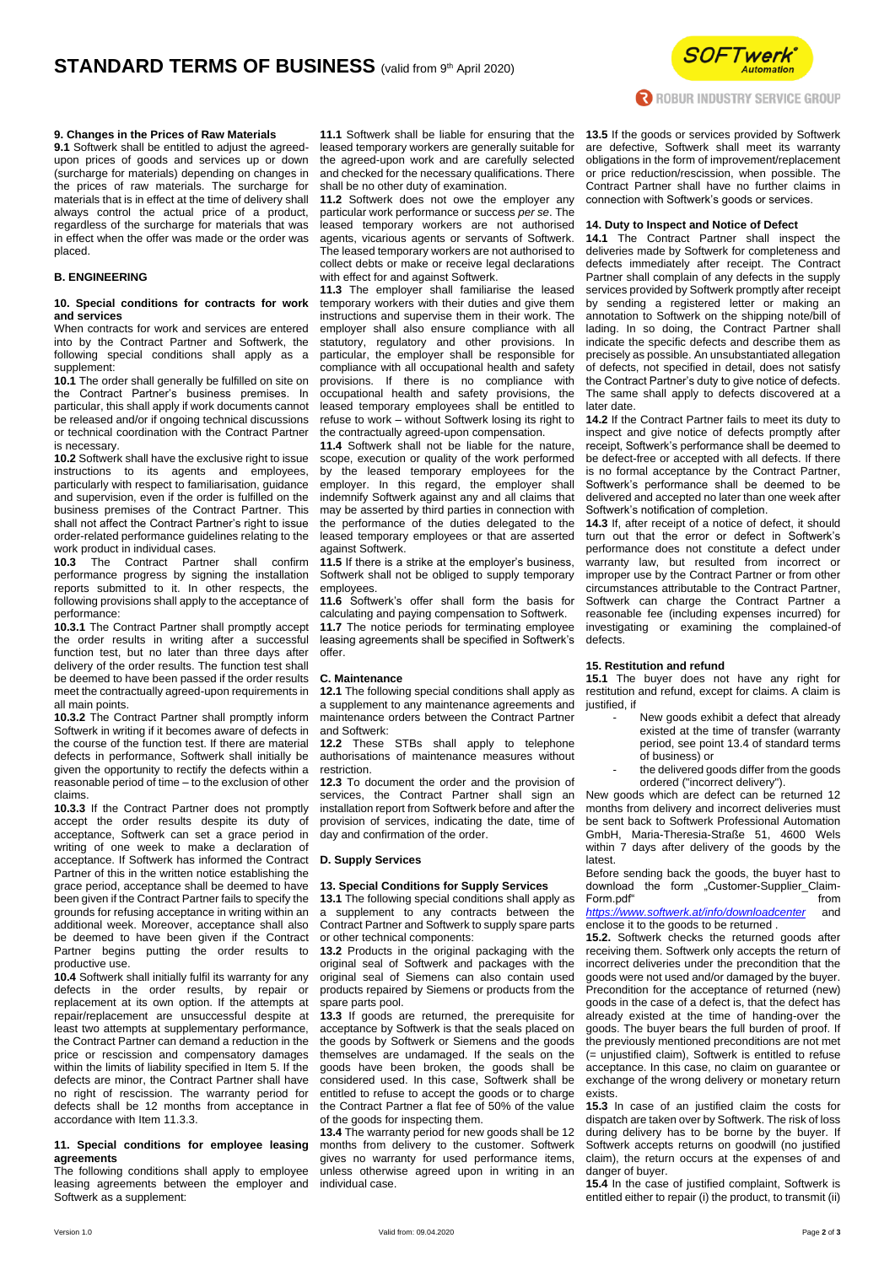

## **9. Changes in the Prices of Raw Materials**

**9.1** Softwerk shall be entitled to adjust the agreedupon prices of goods and services up or down (surcharge for materials) depending on changes in the prices of raw materials. The surcharge for materials that is in effect at the time of delivery shall always control the actual price of a product, regardless of the surcharge for materials that was in effect when the offer was made or the order was placed.

# **B. ENGINEERING**

#### **10. Special conditions for contracts for work and services**

When contracts for work and services are entered into by the Contract Partner and Softwerk, the following special conditions shall apply as a supplement:

**10.1** The order shall generally be fulfilled on site on the Contract Partner's business premises. In particular, this shall apply if work documents cannot be released and/or if ongoing technical discussions or technical coordination with the Contract Partner is necessary.

**10.2** Softwerk shall have the exclusive right to issue instructions to its agents and employees, particularly with respect to familiarisation, guidance and supervision, even if the order is fulfilled on the business premises of the Contract Partner. This shall not affect the Contract Partner's right to issue order-related performance guidelines relating to the work product in individual cases.

**10.3** The Contract Partner shall confirm performance progress by signing the installation reports submitted to it. In other respects, the following provisions shall apply to the acceptance of performance:

**10.3.1** The Contract Partner shall promptly accept the order results in writing after a successful function test, but no later than three days after delivery of the order results. The function test shall be deemed to have been passed if the order results meet the contractually agreed-upon requirements in all main points.

**10.3.2** The Contract Partner shall promptly inform Softwerk in writing if it becomes aware of defects in the course of the function test. If there are material defects in performance, Softwerk shall initially be given the opportunity to rectify the defects within a reasonable period of time – to the exclusion of other claims.

**10.3.3** If the Contract Partner does not promptly accept the order results despite its duty of acceptance, Softwerk can set a grace period in writing of one week to make a declaration of acceptance. If Softwerk has informed the Contract Partner of this in the written notice establishing the grace period, acceptance shall be deemed to have been given if the Contract Partner fails to specify the grounds for refusing acceptance in writing within an additional week. Moreover, acceptance shall also be deemed to have been given if the Contract Partner begins putting the order results to productive use.

**10.4** Softwerk shall initially fulfil its warranty for any defects in the order results, by repair or replacement at its own option. If the attempts at repair/replacement are unsuccessful despite at least two attempts at supplementary performance, the Contract Partner can demand a reduction in the price or rescission and compensatory damages within the limits of liability specified in Item 5. If the defects are minor, the Contract Partner shall have no right of rescission. The warranty period for defects shall be 12 months from acceptance in accordance with Item 11.3.3.

## **11. Special conditions for employee leasing agreements**

The following conditions shall apply to employee leasing agreements between the employer and Softwerk as a supplement:

**11.1** Softwerk shall be liable for ensuring that the leased temporary workers are generally suitable for the agreed-upon work and are carefully selected and checked for the necessary qualifications. There shall be no other duty of examination.

**11.2** Softwerk does not owe the employer any particular work performance or success *per se*. The leased temporary workers are not authorised agents, vicarious agents or servants of Softwerk. The leased temporary workers are not authorised to collect debts or make or receive legal declarations with effect for and against Softwerk.

**11.3** The employer shall familiarise the leased temporary workers with their duties and give them instructions and supervise them in their work. The employer shall also ensure compliance with all statutory, regulatory and other provisions. In particular, the employer shall be responsible for compliance with all occupational health and safety provisions. If there is no compliance with occupational health and safety provisions, the leased temporary employees shall be entitled to refuse to work – without Softwerk losing its right to the contractually agreed-upon compensation.

**11.4** Softwerk shall not be liable for the nature, scope, execution or quality of the work performed by the leased temporary employees for the employer. In this regard, the employer shall indemnify Softwerk against any and all claims that may be asserted by third parties in connection with the performance of the duties delegated to the leased temporary employees or that are asserted against Softwerk.

**11.5** If there is a strike at the employer's business, Softwerk shall not be obliged to supply temporary employees.

**11.6** Softwerk's offer shall form the basis for calculating and paying compensation to Softwerk.

**11.7** The notice periods for terminating employee leasing agreements shall be specified in Softwerk's offer.

# **C. Maintenance**

**12.1** The following special conditions shall apply as a supplement to any maintenance agreements and maintenance orders between the Contract Partner and Softwerk:

**12.2** These STBs shall apply to telephone authorisations of maintenance measures without restriction.

**12.3** To document the order and the provision of services, the Contract Partner shall sign an installation report from Softwerk before and after the provision of services, indicating the date, time of day and confirmation of the order.

#### **D. Supply Services**

# **13. Special Conditions for Supply Services**

**13.1** The following special conditions shall apply as a supplement to any contracts between the Contract Partner and Softwerk to supply spare parts or other technical components:

**13.2** Products in the original packaging with the original seal of Softwerk and packages with the original seal of Siemens can also contain used products repaired by Siemens or products from the spare parts pool.

**13.3** If goods are returned, the prerequisite for acceptance by Softwerk is that the seals placed on the goods by Softwerk or Siemens and the goods themselves are undamaged. If the seals on the goods have been broken, the goods shall be considered used. In this case, Softwerk shall be entitled to refuse to accept the goods or to charge the Contract Partner a flat fee of 50% of the value of the goods for inspecting them.

**13.4** The warranty period for new goods shall be 12 months from delivery to the customer. Softwerk gives no warranty for used performance items, unless otherwise agreed upon in writing in an individual case.

**13.5** If the goods or services provided by Softwerk are defective, Softwerk shall meet its warranty obligations in the form of improvement/replacement or price reduction/rescission, when possible. The Contract Partner shall have no further claims in connection with Softwerk's goods or services.

# **14. Duty to Inspect and Notice of Defect**

**14.1** The Contract Partner shall inspect the deliveries made by Softwerk for completeness and defects immediately after receipt. The Contract Partner shall complain of any defects in the supply services provided by Softwerk promptly after receipt by sending a registered letter or making an annotation to Softwerk on the shipping note/bill of lading. In so doing, the Contract Partner shall indicate the specific defects and describe them as precisely as possible. An unsubstantiated allegation of defects, not specified in detail, does not satisfy the Contract Partner's duty to give notice of defects. The same shall apply to defects discovered at a later date.

**14.2** If the Contract Partner fails to meet its duty to inspect and give notice of defects promptly after receipt, Softwerk's performance shall be deemed to be defect-free or accepted with all defects. If there is no formal acceptance by the Contract Partner, Softwerk's performance shall be deemed to be delivered and accepted no later than one week after Softwerk's notification of completion.

**14.3** If, after receipt of a notice of defect, it should turn out that the error or defect in Softwerk's performance does not constitute a defect under warranty law, but resulted from incorrect or improper use by the Contract Partner or from other circumstances attributable to the Contract Partner, Softwerk can charge the Contract Partner a reasonable fee (including expenses incurred) for investigating or examining the complained-of defects.

# **15. Restitution and refund**

**15.1** The buyer does not have any right for restitution and refund, except for claims. A claim is justified, if

- New goods exhibit a defect that already existed at the time of transfer (warranty period, see point 13.4 of standard terms of business) or
- the delivered goods differ from the goods ordered ("incorrect delivery").

New goods which are defect can be returned 12 months from delivery and incorrect deliveries must be sent back to Softwerk Professional Automation GmbH, Maria-Theresia-Straße 51, 4600 Wels within 7 days after delivery of the goods by the latest.

Before sending back the goods, the buyer hast to download the form "Customer-Supplier Claim-Form.pdf" from *<https://www.softwerk.at/info/downloadcenter>* and

enclose it to the goods to be returned .

**15.2.** Softwerk checks the returned goods after receiving them. Softwerk only accepts the return of incorrect deliveries under the precondition that the goods were not used and/or damaged by the buyer. Precondition for the acceptance of returned (new) goods in the case of a defect is, that the defect has already existed at the time of handing-over the goods. The buyer bears the full burden of proof. If the previously mentioned preconditions are not met (= unjustified claim), Softwerk is entitled to refuse acceptance. In this case, no claim on guarantee or exchange of the wrong delivery or monetary return exists.

**15.3** In case of an justified claim the costs for dispatch are taken over by Softwerk. The risk of loss during delivery has to be borne by the buyer. If Softwerk accepts returns on goodwill (no justified claim), the return occurs at the expenses of and danger of buyer.

**15.4** In the case of justified complaint, Softwerk is entitled either to repair (i) the product, to transmit (ii)